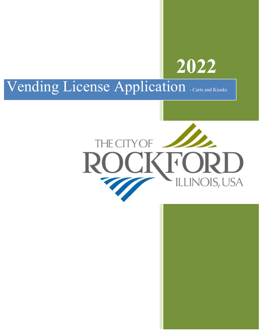

# Vending License Application . Carts and Kiosks

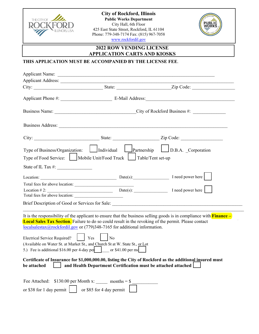

**City of Rockford, Illinois Public Works Department** City Hall, 6th Floor 425 East State Street, Rockford, IL 61104 Phone: 779-348-7174 Fax: (815) 967-7058 www.rockfordil.gov



**2022 ROW VENDING LICENSE** 

**APPLICATION CARTS AND KIOSKS**

## **THIS APPLICATION MUST BE ACCOMPANIED BY THE LICENSE FEE**.

|                                                                       | Applicant Name: <u>and the contract of the contract of the contract of the contract of the contract of the contract of the contract of the contract of the contract of the contract of the contract of the contract of the contr</u> |                                                                                                                            |
|-----------------------------------------------------------------------|--------------------------------------------------------------------------------------------------------------------------------------------------------------------------------------------------------------------------------------|----------------------------------------------------------------------------------------------------------------------------|
|                                                                       |                                                                                                                                                                                                                                      |                                                                                                                            |
|                                                                       |                                                                                                                                                                                                                                      |                                                                                                                            |
|                                                                       |                                                                                                                                                                                                                                      |                                                                                                                            |
|                                                                       |                                                                                                                                                                                                                                      |                                                                                                                            |
|                                                                       |                                                                                                                                                                                                                                      |                                                                                                                            |
|                                                                       |                                                                                                                                                                                                                                      |                                                                                                                            |
|                                                                       |                                                                                                                                                                                                                                      | Type of Business/Organization: Individual Partnership D.B.A. Corporation                                                   |
| Type of Food Service: Mobile Unit/Food Truck                          |                                                                                                                                                                                                                                      | Table/Tent set-up                                                                                                          |
| State of IL Tax $\#$ :                                                |                                                                                                                                                                                                                                      |                                                                                                                            |
|                                                                       |                                                                                                                                                                                                                                      | Location: $\qquad \qquad$ Date(s): $\qquad \qquad$ I need power here                                                       |
|                                                                       |                                                                                                                                                                                                                                      |                                                                                                                            |
|                                                                       | $Location # 2: \n$                                                                                                                                                                                                                   |                                                                                                                            |
|                                                                       |                                                                                                                                                                                                                                      |                                                                                                                            |
|                                                                       |                                                                                                                                                                                                                                      |                                                                                                                            |
|                                                                       | <b>Local Sales Tax Section.</b> Failure to do so could result in the revoking of the permit. Please contact<br>$\frac{local sales tax@rockfordil.gov}{local sales tax@rockfordil.gov}$ or (779)348-7165 for additional information.  | It is the responsibility of the applicant to ensure that the business selling goods is in compliance with <b>Finance</b> – |
| Electrical Service Required?     Yes                                  | $\overline{N_0}$                                                                                                                                                                                                                     |                                                                                                                            |
|                                                                       | (Available on Water St. at Market St., and Church St at W. State St., or Lot                                                                                                                                                         |                                                                                                                            |
|                                                                       | 5.) Fee is additional \$16.00 per 4-day per $\vert$ or \$41.00 per m                                                                                                                                                                 |                                                                                                                            |
| be attached                                                           | and Health Department Certification must be attached attached                                                                                                                                                                        | Certificate of Insurance for \$1,000,000.00, listing the City of Rockford as the additional insured must                   |
| Fee Attached: $$130.00$ per Month x: _________ months = $$$ _________ |                                                                                                                                                                                                                                      |                                                                                                                            |
| or \$38 for 1 day permit $\vert$                                      | or \$85 for 4 day permit                                                                                                                                                                                                             |                                                                                                                            |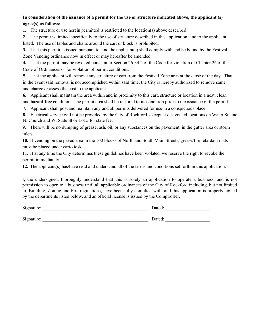## **In consideration of the issuance of a permit for the use or structure indicated above, the applicant (s) agree(s) as follows:**

**1.** The structure or use herein permitted is restricted to the location(s) above described

**2.** The permit is limited specifically to the use of structure described in this application, and to the applicant listed. The use of tables and chairs around the cart or kiosk is prohibited.

**3.** That this permit is issued pursuant to, and the applicant(s) shall comply with and be bound by the Festival Zone Vending ordinance now in effect or may hereafter be amended.

**4.** That the permit may be revoked pursuant to Section 26-34.2 of the Code for violation of Chapter 26 of the Code of Ordinances or for violation of permit conditions.

**5.** That the applicant will remove any structure or cart from the Festival Zone area at the close of the day. That in the event said removal is not accomplished within said time, the City is hereby authorized to remove same and charge or assess the cost to the applicant.

**6.** Applicant shall maintain the area within and in proximity to this cart, structure or location in a neat, clean

and hazard-free condition. The permit area shall be restored to its condition prior to the issuance of the permit.

**7.** Applicant shall post and maintain any and all permits delivered for use in a conspicuous place.

**8.** Electrical service will not be provided by the City of Rockford, except at designated locations on Water St. and

N. Church and W. State St or Lot 5 for state fee.

**9.** There will be no dumping of grease, ash, oil, or any substances on the pavement, in the gutter area or storm inlets.

**10.** If vending on the paved area in the 100 blocks of North and South Main Streets, grease/fire retardant mats must be placed under cart/kiosk.

**11.** If at any time the City determines these guidelines have been violated, we reserve the right to revoke the permit immediately.

**12.** The applicant(s) has/have read and understand all of the terms and conditions set forth in this application.

I, the undersigned, thoroughly understand that this is solely an application to operate a business, and is not permission to operate a business until all applicable ordinances of the City of Rockford including, but not limited to, Building, Zoning and Fire regulations, have been fully complied with, and this application is properly signed by the departments listed below, and an official license is issued by the Comptroller.

| Signature: | Dated: |
|------------|--------|
| Signature: | Dated: |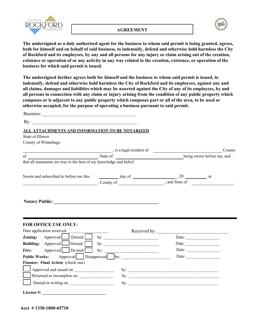

#### **AGREEMENT**



**The undersigned as a duly authorized agent for the business to whom said permit is being granted, agrees, both for himself and on behalf of said business, to indemnify, defend and otherwise hold harmless the City of Rockford and its employees, by any and all persons for any injury or claim arising out of the creation, existence or operation of or any activity in any way related to the creation, existence, or operation of the business for which said permit is issued.** 

**The undersigned further agrees both for himself and the business to whom said permit is issued, to indemnify, defend and otherwise hold harmless the City of Rockford and its employees, against any and all claims, damages and liabilities which may be asserted against the City of any of its employees, by and all persons in connection with any claim or injury arising from the condition of any public property which composes or is adjacent to any public property which composes part or all of the area, to be used or otherwise occupied, for the purpose of operating a business pursuant to said permit.** 

Business:  $\mathbf{By:}$ **ALL ATTACHMENTS AND INFORMATION TO BE NOTARIZED** State of Illinois County of Winnebago County being sworn before me, and \_, is a legal resident of of , State of that all statements are true to the best of my knowledge and belief. Sworn and subscribed to before me this  $\frac{d}{dx}$  day of  $\frac{d}{dx}$ , at  $\frac{1}{x}$ , at , County of  $\frac{1}{2}$ , 20  $\Box$ , and State of  $\Box$ Notary Public: **FOR OFFICE USE ONLY:** Date application received: \_\_\_\_\_\_\_\_\_\_\_\_\_\_\_\_\_\_\_ Received by: \_\_\_\_\_\_\_\_\_\_\_\_\_\_\_\_\_\_\_\_\_\_\_\_\_\_\_\_\_\_\_ **Zoning:** Approved Denied by: Date: **Building:** Approved Denied by:  $\Box$  Denied by: **Fire:** Approved De nied by: \_\_\_\_\_\_\_\_\_\_\_\_\_\_\_\_\_\_\_\_\_\_\_\_\_\_ Date: \_\_\_\_\_\_\_\_\_\_\_\_\_\_\_\_ **Public Works:** Approved Disapproved by: Date: Date: **Finance: Final Action**: (check one) License #: Approved and issued on \_\_\_\_\_\_\_\_\_\_\_\_\_\_\_\_\_\_\_ by: \_\_\_\_\_\_\_\_\_\_\_\_\_\_\_\_\_\_\_\_\_\_\_\_\_\_\_\_\_\_\_\_\_\_\_\_\_\_\_\_\_\_\_ Returned as incomplete on: \_\_\_\_\_\_\_\_\_\_\_\_\_\_\_\_ by: \_\_\_\_\_\_\_\_\_\_\_\_\_\_\_\_\_\_\_\_\_\_\_\_\_\_\_\_\_\_\_\_\_\_\_\_\_\_\_\_\_\_\_ Denied in writing on writing on by:

**Acct # 1330-1000-65710**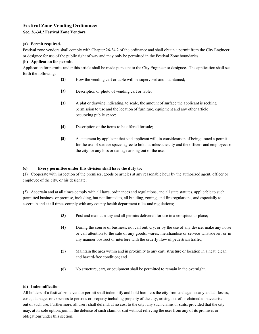### **Festival Zone Vending Ordinance:**

#### **Sec. 26-34.2 Festival Zone Vendors**

#### **(a) Permit required.**

Festival zone vendors shall comply with Chapter 26-34.2 of the ordinance and shall obtain a permit from the City Engineer or designee for use of the public right of way and may only be permitted in the Festival Zone boundaries.

#### **(b) Application for permit.**

Application for permits under this article shall be made pursuant to the City Engineer or designee. The application shall set forth the following:

- **(1)** How the vending cart or table will be supervised and maintained;
- **(2)** Description or photo of vending cart or table;
- **(3)** A plat or drawing indicating, to scale, the amount of surface the applicant is seeking permission to use and the location of furniture, equipment and any other article occupying public space;
- **(4)** Description of the items to be offered for sale;
- **(5)** A statement by applicant that said applicant will, in consideration of being issued a permit for the use of surface space, agree to hold harmless the city and the officers and employees of the city for any loss or damage arising out of the use;

#### **(c) Every permittee under this division shall have the duty to:**

**(1)** Cooperate with inspection of the premises, goods or articles at any reasonable hour by the authorized agent, officer or employee of the city, or his designate;

**(2)** Ascertain and at all times comply with all laws, ordinances and regulations, and all state statutes, applicable to such permitted business or premise, including, but not limited to, all building, zoning, and fire regulations, and especially to ascertain and at all times comply with any county health department rules and regulations;

- **(3)** Post and maintain any and all permits delivered for use in a conspicuous place;
- **(4)** During the course of business, not call out, cry, or by the use of any device, make any noise or call attention to the sale of any goods, wares, merchandise or service whatsoever, or in any manner obstruct or interfere with the orderly flow of pedestrian traffic;
- **(5)** Maintain the area within and in proximity to any cart, structure or location in a neat, clean and hazard-free condition; and
- **(6)** No structure, cart, or equipment shall be permitted to remain in the overnight.

#### **(d) Indemnification**

All holders of a festival zone vendor permit shall indemnify and hold harmless the city from and against any and all losses, costs, damages or expenses to persons or property including property of the city, arising out of or claimed to have arisen out of such use. Furthermore, all users shall defend, at no cost to the city, any such claims or suits, provided that the city may, at its sole option, join in the defense of such claim or suit without relieving the user from any of its promises or obligations under this section.